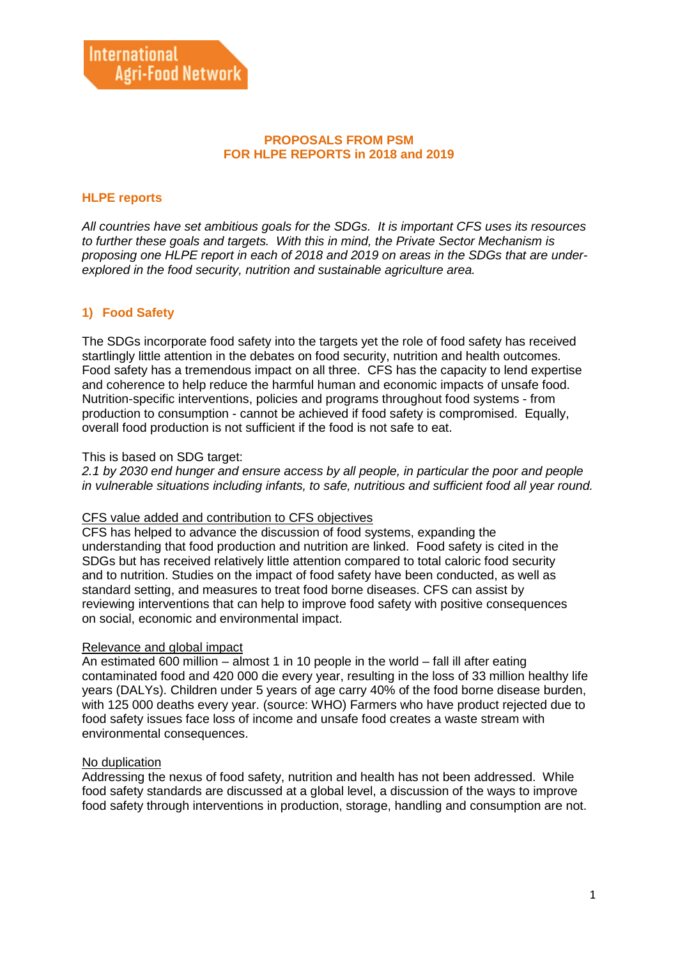#### **PROPOSALS FROM PSM FOR HLPE REPORTS in 2018 and 2019**

# **HLPE reports**

*All countries have set ambitious goals for the SDGs. It is important CFS uses its resources to further these goals and targets. With this in mind, the Private Sector Mechanism is proposing one HLPE report in each of 2018 and 2019 on areas in the SDGs that are underexplored in the food security, nutrition and sustainable agriculture area.*

# **1) Food Safety**

The SDGs incorporate food safety into the targets yet the role of food safety has received startlingly little attention in the debates on food security, nutrition and health outcomes. Food safety has a tremendous impact on all three. CFS has the capacity to lend expertise and coherence to help reduce the harmful human and economic impacts of unsafe food. Nutrition-specific interventions, policies and programs throughout food systems - from production to consumption - cannot be achieved if food safety is compromised. Equally, overall food production is not sufficient if the food is not safe to eat.

#### This is based on SDG target:

*2.1 by 2030 end hunger and ensure access by all people, in particular the poor and people in vulnerable situations including infants, to safe, nutritious and sufficient food all year round.*

#### CFS value added and contribution to CFS objectives

CFS has helped to advance the discussion of food systems, expanding the understanding that food production and nutrition are linked. Food safety is cited in the SDGs but has received relatively little attention compared to total caloric food security and to nutrition. Studies on the impact of food safety have been conducted, as well as standard setting, and measures to treat food borne diseases. CFS can assist by reviewing interventions that can help to improve food safety with positive consequences on social, economic and environmental impact.

#### Relevance and global impact

An estimated 600 million – almost 1 in 10 people in the world – fall ill after eating contaminated food and 420 000 die every year, resulting in the loss of 33 million healthy life years (DALYs). Children under 5 years of age carry 40% of the food borne disease burden, with 125 000 deaths every year. (source: WHO) Farmers who have product rejected due to food safety issues face loss of income and unsafe food creates a waste stream with environmental consequences.

## No duplication

Addressing the nexus of food safety, nutrition and health has not been addressed. While food safety standards are discussed at a global level, a discussion of the ways to improve food safety through interventions in production, storage, handling and consumption are not.